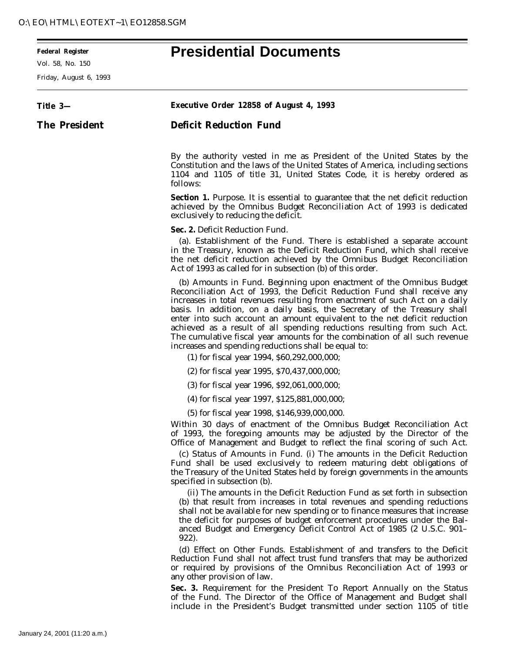Vol. 58, No. 150

-

## **Federal Register Presidential Documents**

| Friday, August 6, 1993 |                                                                                                                                                                                                                                                                                                                                                                                                                                                                                                                                                                                                            |
|------------------------|------------------------------------------------------------------------------------------------------------------------------------------------------------------------------------------------------------------------------------------------------------------------------------------------------------------------------------------------------------------------------------------------------------------------------------------------------------------------------------------------------------------------------------------------------------------------------------------------------------|
| Title 3-               | Executive Order 12858 of August 4, 1993                                                                                                                                                                                                                                                                                                                                                                                                                                                                                                                                                                    |
| <b>The President</b>   | <b>Deficit Reduction Fund</b>                                                                                                                                                                                                                                                                                                                                                                                                                                                                                                                                                                              |
|                        | By the authority vested in me as President of the United States by the<br>Constitution and the laws of the United States of America, including sections<br>1104 and 1105 of title 31, United States Code, it is hereby ordered as<br>follows:                                                                                                                                                                                                                                                                                                                                                              |
|                        | <b>Section 1.</b> Purpose. It is essential to guarantee that the net deficit reduction<br>achieved by the Omnibus Budget Reconciliation Act of 1993 is dedicated<br>exclusively to reducing the deficit.                                                                                                                                                                                                                                                                                                                                                                                                   |
|                        | Sec. 2. Deficit Reduction Fund.<br>(a). <i>Establishment of the Fund</i> . There is established a separate account<br>in the Treasury, known as the Deficit Reduction Fund, which shall receive<br>the net deficit reduction achieved by the Omnibus Budget Reconciliation<br>Act of 1993 as called for in subsection (b) of this order.                                                                                                                                                                                                                                                                   |
|                        | (b) Amounts in Fund. Beginning upon enactment of the Omnibus Budget<br>Reconciliation Act of 1993, the Deficit Reduction Fund shall receive any<br>increases in total revenues resulting from enactment of such Act on a daily<br>basis. In addition, on a daily basis, the Secretary of the Treasury shall<br>enter into such account an amount equivalent to the net deficit reduction<br>achieved as a result of all spending reductions resulting from such Act.<br>The cumulative fiscal year amounts for the combination of all such revenue<br>increases and spending reductions shall be equal to: |
|                        | (1) for fiscal year 1994, \$60,292,000,000;                                                                                                                                                                                                                                                                                                                                                                                                                                                                                                                                                                |
|                        | (2) for fiscal year 1995, \$70,437,000,000;                                                                                                                                                                                                                                                                                                                                                                                                                                                                                                                                                                |
|                        | (3) for fiscal year 1996, \$92,061,000,000;                                                                                                                                                                                                                                                                                                                                                                                                                                                                                                                                                                |
|                        | (4) for fiscal year 1997, \$125,881,000,000;                                                                                                                                                                                                                                                                                                                                                                                                                                                                                                                                                               |
|                        | (5) for fiscal year 1998, \$146,939,000,000.                                                                                                                                                                                                                                                                                                                                                                                                                                                                                                                                                               |
|                        | Within 30 days of enactment of the Omnibus Budget Reconciliation Act<br>of 1993, the foregoing amounts may be adjusted by the Director of the<br>Office of Management and Budget to reflect the final scoring of such Act.                                                                                                                                                                                                                                                                                                                                                                                 |
|                        | (c) Status of Amounts in Fund. (i) The amounts in the Deficit Reduction<br>Fund shall be used exclusively to redeem maturing debt obligations of<br>the Treasury of the United States held by foreign governments in the amounts<br>specified in subsection (b).                                                                                                                                                                                                                                                                                                                                           |
|                        | (ii) The amounts in the Deficit Reduction Fund as set forth in subsection<br>(b) that result from increases in total revenues and spending reductions<br>shall not be available for new spending or to finance measures that increase<br>the deficit for purposes of budget enforcement procedures under the Bal-<br>anced Budget and Emergency Deficit Control Act of 1985 (2 U.S.C. 901–<br>922).                                                                                                                                                                                                        |
|                        | (d) <i>Effect on Other Funds</i> . Establishment of and transfers to the Deficit<br>Reduction Fund shall not affect trust fund transfers that may be authorized<br>or required by provisions of the Omnibus Reconciliation Act of 1993 or<br>any other provision of law.                                                                                                                                                                                                                                                                                                                                   |
|                        | Sec. 3. Requirement for the President To Report Annually on the Status<br>of the Fund. The Director of the Office of Management and Budget shall                                                                                                                                                                                                                                                                                                                                                                                                                                                           |

include in the President's Budget transmitted under section 1105 of title